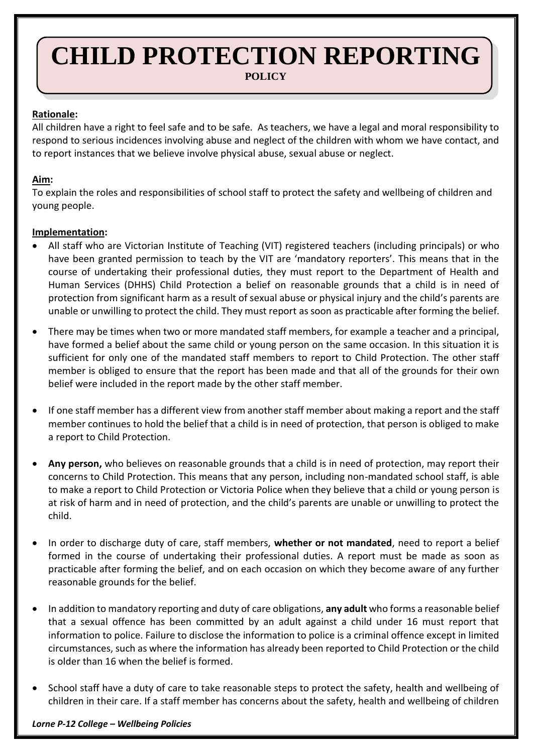# **CHILD PROTECTION REPORTING POLICY**

## **Rationale:**

All children have a right to feel safe and to be safe. As teachers, we have a legal and moral responsibility to respond to serious incidences involving abuse and neglect of the children with whom we have contact, and to report instances that we believe involve physical abuse, sexual abuse or neglect.

# **Aim:**

To explain the roles and responsibilities of school staff to protect the safety and wellbeing of children and young people.

## **Implementation:**

- All staff who are Victorian Institute of Teaching (VIT) registered teachers (including principals) or who have been granted permission to teach by the VIT are 'mandatory reporters'. This means that in the course of undertaking their professional duties, they must report to the Department of Health and Human Services (DHHS) Child Protection a belief on reasonable grounds that a child is in need of protection from significant harm as a result of sexual abuse or physical injury and the child's parents are unable or unwilling to protect the child. They must report as soon as practicable after forming the belief.
- There may be times when two or more mandated staff members, for example a teacher and a principal, have formed a belief about the same child or young person on the same occasion. In this situation it is sufficient for only one of the mandated staff members to report to Child Protection. The other staff member is obliged to ensure that the report has been made and that all of the grounds for their own belief were included in the report made by the other staff member.
- If one staff member has a different view from another staff member about making a report and the staff member continues to hold the belief that a child is in need of protection, that person is obliged to make a report to Child Protection.
- **Any person,** who believes on reasonable grounds that a child is in need of protection, may report their concerns to Child Protection. This means that any person, including non-mandated school staff, is able to make a report to Child Protection or Victoria Police when they believe that a child or young person is at risk of harm and in need of protection, and the child's parents are unable or unwilling to protect the child.
- In order to discharge duty of care, staff members, **whether or not mandated**, need to report a belief formed in the course of undertaking their professional duties. A report must be made as soon as practicable after forming the belief, and on each occasion on which they become aware of any further reasonable grounds for the belief.
- In addition to mandatory reporting and duty of care obligations, **any adult** who forms a reasonable belief that a sexual offence has been committed by an adult against a child under 16 must report that information to police. Failure to disclose the information to police is a criminal offence except in limited circumstances, such as where the information has already been reported to Child Protection or the child is older than 16 when the belief is formed.
- School staff have a duty of care to take reasonable steps to protect the safety, health and wellbeing of children in their care. If a staff member has concerns about the safety, health and wellbeing of children

#### *Lorne P-12 College – Wellbeing Policies*